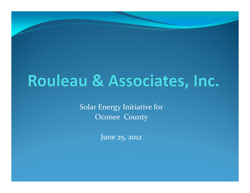## Rouleau & Associates, Inc.

Solar Energy Initiative for Oconee County

June 25, <sup>2012</sup>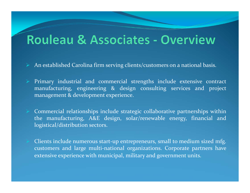### **Rouleau & Associates - Overview**

- $\blacktriangleright$ An established Carolina firm serving clients/customers on <sup>a</sup> national basis.
- Primary industrial and commercial strengths include extensive contract manufacturing, engineering & design consulting services and project managemen<sup>t</sup> & development experience.
- Commercial relationships include strategic collaborative partnerships within the manufacturing, A&E design, solar/renewable energy, financial and logistical/distribution sectors.
- Clients include numerous start‐up entrepreneurs, small to medium sized mfg. customers and large multi‐national organizations. Corporate partners have extensive experience with municipal, military and governmen<sup>t</sup> units.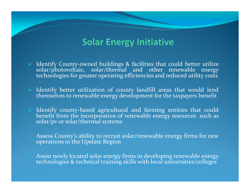### **Solar Energy Initiative**

- $\blacktriangleright$ Identify County-owned buildings & facilities that could better utilize solar/photovoltaic, solar/thermal and other renewable energy technologies for greater operating efficiencies and reduced utility costs
- Identify better utilization of county landfill areas that would lend themselves to renewable energy development for the taxpayers benefit
- Identify county-based agricultural and farming entities that could benefit from the incorporation of renewable energy resources such as solar/pv or solar/thermal systems
- Assess County's ability to recruit solar/renewable energy firms for new operations in the Upstate Region
- Assist newly located solar energy firms in developing renewable energy technologies & technical training skills with local universities/colleges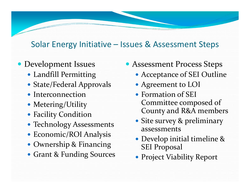### Solar Energy Initiative – Issues & Assessment Steps

### Development Issues

- Landfill Permitting
- State/Federal Approvals
- Interconnection
- Metering/Utility
- Facility Condition
- Technology Assessments
- Economic/ROI Analysis
- Ownership & Financing
- Grant & Funding Sources
- Assessment Process Steps
	- Acceptance of SEI Outline
	- Agreement to LOI
	- Formation of SEI Committee composed of County and R&A members
	- Site survey & preliminary assessments
	- Develop initial timeline & SEI Proposal
	- Project Viability Report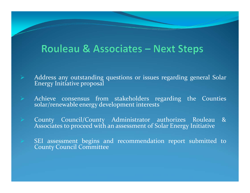### **Rouleau & Associates - Next Steps**

 Address any outstanding questions or issues regarding general Solar Energy Initiative proposal

Achieve consensus from stakeholders regarding the Counties solar/renewable energy development interests

 County Council/County Administrator authorizes Rouleau & Associates to proceed with an assessment of Solar Energy Initiative

 $\triangleright$  SEI assessment begins and recommendation report submitted to County Council Committee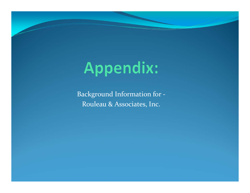# Appendix:

Background Information for ‐ Rouleau & Associates, Inc.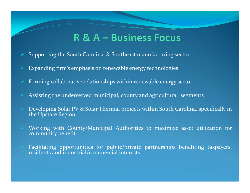### R & A – Business Focus

- $\blacktriangleright$ Supporting the South Carolina & Southeast manufacturing sector
- $\blacktriangleright$ Expanding firm's emphasis on renewable energy technologies
- $\blacktriangleright$ Forming collaborative relationships within renewable energy sector
- Assisting the underserved municipal, county and agricultural segments
- Developing Solar PV & Solar Thermal projects within South Carolina, specifically in the Upstate Region
- Working with County/Municipal Authorities to maximize asset utilization for community benefit
	- Facilitating opportunities for public/private partnerships benefiting taxpayers, residents and industrial/commercial interests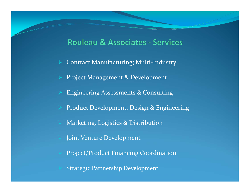#### **Rouleau & Associates - Services**

- Contract Manufacturing; Multi‐Industry
- Project Management & Development
- Engineering Assessments & Consulting
- Product Development, Design & Engineering
- Marketing, Logistics & Distribution
- Joint Venture Development
- Project/Product Financing Coordination
- Strategic Partnership Development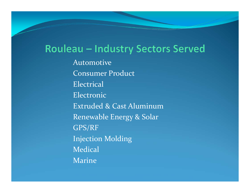### Rouleau - Industry Sectors Served

Automotive Consumer Product Electrical Electronic Extruded & Cast AluminumRenewable Energy & Solar GPS/RF Injection Molding **Medical** Marine